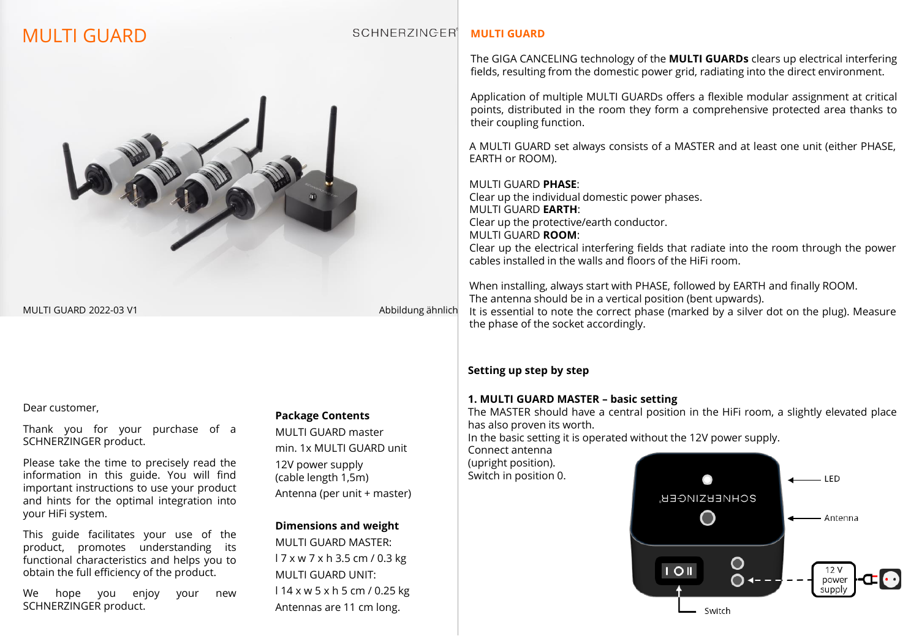# MULTI GUARD



MULTI GUARD 2022-03 V1 Abbildung ähnlich

#### Dear customer,

Thank you for your purchase of a SCHNERZINGER product.

Please take the time to precisely read the information in this guide. You will find important instructions to use your product and hints for the optimal integration into your HiFi system.

This guide facilitates your use of the product, promotes understanding its functional characteristics and helps you to obtain the full efficiency of the product.

We hope you enjoy your new SCHNERZINGER product.

#### **Package Contents**

MULTI GUARD master min. 1x MULTI GUARD unit 12V power supply (cable length 1,5m) Antenna (per unit + master)

#### **Dimensions and weight**

MULTI GUARD MASTER: l 7 x w 7 x h 3.5 cm / 0.3 kg MULTI GUARD UNIT: l 14 x w 5 x h 5 cm / 0.25 kg Antennas are 11 cm long.

#### **SCHNERZINGER**<sup>1</sup> **MULTI GUARD**

The GIGA CANCELING technology of the **MULTI GUARDs** clears up electrical interfering fields, resulting from the domestic power grid, radiating into the direct environment.

Application of multiple MULTI GUARDs offers a flexible modular assignment at critical points, distributed in the room they form a comprehensive protected area thanks to their coupling function.

A MULTI GUARD set always consists of a MASTER and at least one unit (either PHASE, EARTH or ROOM).

#### MULTI GUARD **PHASE**:

Clear up the individual domestic power phases. MULTI GUARD **EARTH**: Clear up the protective/earth conductor. MULTI GUARD **ROOM**: Clear up the electrical interfering fields that radiate into the room through the power

cables installed in the walls and floors of the HiFi room.

When installing, always start with PHASE, followed by EARTH and finally ROOM. The antenna should be in a vertical position (bent upwards). It is essential to note the correct phase (marked by a silver dot on the plug). Measure the phase of the socket accordingly.

#### **Setting up step by step**

#### **1. MULTI GUARD MASTER – basic setting**

The MASTER should have a central position in the HiFi room, a slightly elevated place has also proven its worth.

In the basic setting it is operated without the 12V power supply.

Connect antenna (upright position). Switch in position 0.